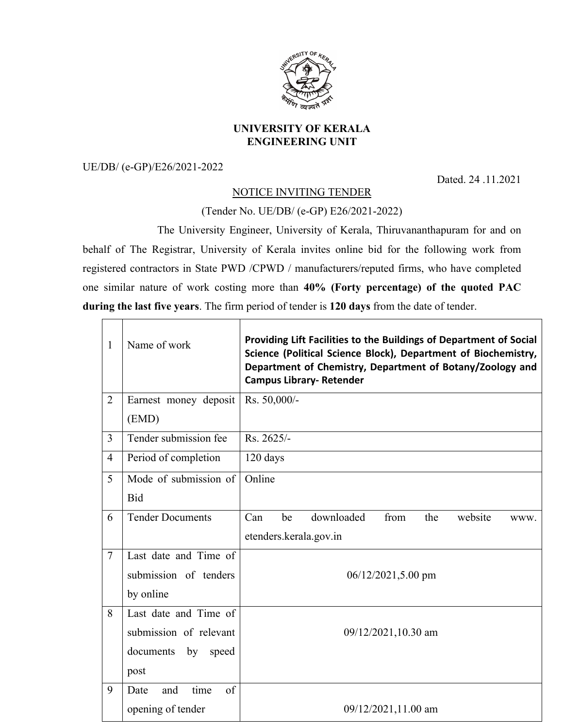

## **UNIVERSITY OF KERALA ENGINEERING UNIT**

UE/DB/ (e-GP)/E26/2021-2022

 $\Box$ ┯ Dated. 24 .11.2021

## NOTICE INVITING TENDER

(Tender No. UE/DB/ (e-GP) E26/2021-2022)

The University Engineer, University of Kerala, Thiruvananthapuram for and on behalf of The Registrar, University of Kerala invites online bid for the following work from registered contractors in State PWD /CPWD / manufacturers/reputed firms, who have completed one similar nature of work costing more than **40% (Forty percentage) of the quoted PAC during the last five years**. The firm period of tender is **120 days** from the date of tender.

| 1              | Name of work              | Providing Lift Facilities to the Buildings of Department of Social<br>Science (Political Science Block), Department of Biochemistry,<br>Department of Chemistry, Department of Botany/Zoology and<br><b>Campus Library- Retender</b> |  |
|----------------|---------------------------|--------------------------------------------------------------------------------------------------------------------------------------------------------------------------------------------------------------------------------------|--|
| $\overline{2}$ | Earnest money deposit     | Rs. 50,000/-                                                                                                                                                                                                                         |  |
|                | (EMD)                     |                                                                                                                                                                                                                                      |  |
| $\overline{3}$ | Tender submission fee     | Rs. 2625/-                                                                                                                                                                                                                           |  |
| $\overline{4}$ | Period of completion      | 120 days                                                                                                                                                                                                                             |  |
| 5              | Mode of submission of     | Online                                                                                                                                                                                                                               |  |
|                | <b>Bid</b>                |                                                                                                                                                                                                                                      |  |
| 6              | <b>Tender Documents</b>   | downloaded<br>from<br>Can<br>be<br>the<br>website<br>WWW.                                                                                                                                                                            |  |
|                |                           | etenders.kerala.gov.in                                                                                                                                                                                                               |  |
| $\overline{7}$ | Last date and Time of     |                                                                                                                                                                                                                                      |  |
|                | submission of tenders     | $06/12/2021,5.00$ pm                                                                                                                                                                                                                 |  |
|                | by online                 |                                                                                                                                                                                                                                      |  |
| 8              | Last date and Time of     | 09/12/2021,10.30 am                                                                                                                                                                                                                  |  |
|                | submission of relevant    |                                                                                                                                                                                                                                      |  |
|                | documents<br>by<br>speed  |                                                                                                                                                                                                                                      |  |
|                | post                      |                                                                                                                                                                                                                                      |  |
| 9              | time<br>of<br>Date<br>and |                                                                                                                                                                                                                                      |  |
|                | opening of tender         | 09/12/2021,11.00 am                                                                                                                                                                                                                  |  |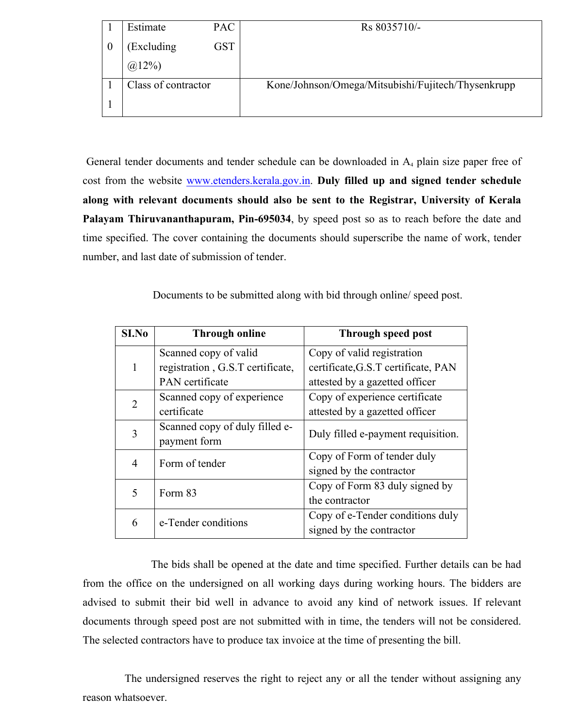|          | Estimate            | <b>PAC</b> | Rs 8035710/-                                       |
|----------|---------------------|------------|----------------------------------------------------|
| $\theta$ | (Excluding)         | GST        |                                                    |
|          | $(a)12\%$           |            |                                                    |
|          | Class of contractor |            | Kone/Johnson/Omega/Mitsubishi/Fujitech/Thysenkrupp |
|          |                     |            |                                                    |

General tender documents and tender schedule can be downloaded in A<sub>4</sub> plain size paper free of cost from the website www.etenders.kerala.gov.in. **Duly filled up and signed tender schedule along with relevant documents should also be sent to the Registrar, University of Kerala Palayam Thiruvananthapuram, Pin-695034**, by speed post so as to reach before the date and time specified. The cover containing the documents should superscribe the name of work, tender number, and last date of submission of tender.

Documents to be submitted along with bid through online/ speed post.

| SI.No | <b>Through online</b>            | <b>Through speed post</b>           |
|-------|----------------------------------|-------------------------------------|
|       | Scanned copy of valid            | Copy of valid registration          |
| 1     | registration, G.S.T certificate, | certificate, G.S.T certificate, PAN |
|       | <b>PAN</b> certificate           | attested by a gazetted officer      |
| 2     | Scanned copy of experience       | Copy of experience certificate      |
|       | certificate                      | attested by a gazetted officer      |
| 3     | Scanned copy of duly filled e-   | Duly filled e-payment requisition.  |
|       | payment form                     |                                     |
| 4     | Form of tender                   | Copy of Form of tender duly         |
|       |                                  | signed by the contractor            |
| 5     | Form 83                          | Copy of Form 83 duly signed by      |
|       |                                  | the contractor                      |
|       | e-Tender conditions              | Copy of e-Tender conditions duly    |
| 6     |                                  | signed by the contractor            |

The bids shall be opened at the date and time specified. Further details can be had from the office on the undersigned on all working days during working hours. The bidders are advised to submit their bid well in advance to avoid any kind of network issues. If relevant documents through speed post are not submitted with in time, the tenders will not be considered. The selected contractors have to produce tax invoice at the time of presenting the bill.

The undersigned reserves the right to reject any or all the tender without assigning any reason whatsoever.